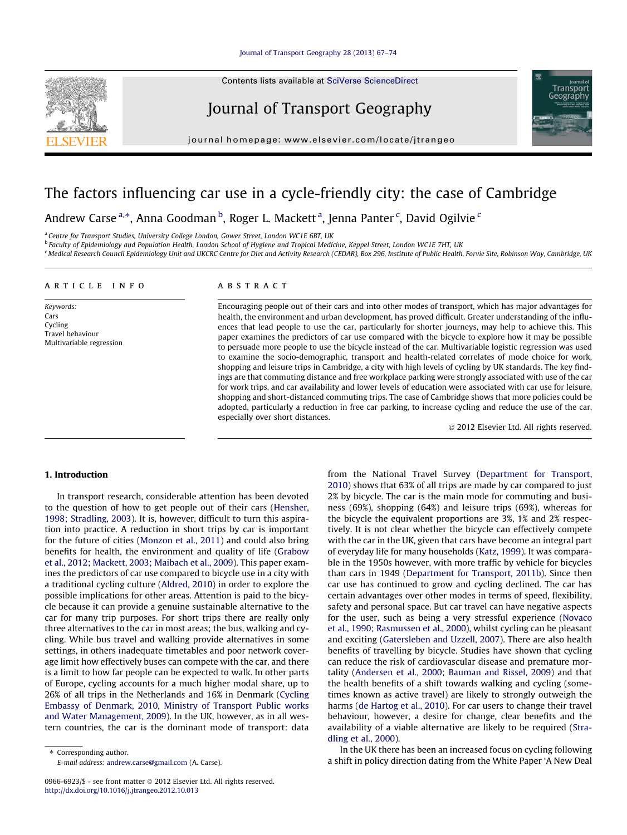#### [Journal of Transport Geography 28 \(2013\) 67–74](http://dx.doi.org/10.1016/j.jtrangeo.2012.10.013)

Contents lists available at [SciVerse ScienceDirect](http://www.sciencedirect.com/science/journal/09666923)

# Journal of Transport Geography

journal homepage: [www.elsevier.com/locate/jtrangeo](http://www.elsevier.com/locate/jtrangeo)

# The factors influencing car use in a cycle-friendly city: the case of Cambridge

Andrew Carse <sup>a,</sup>\*, Anna Goodman <sup>b</sup>, Roger L. Mackett <sup>a</sup>, Jenna Panter <sup>c</sup>, David Ogilvie <sup>c</sup>

a Centre for Transport Studies, University College London, Gower Street, London WC1E 6BT, UK

<sup>b</sup> Faculty of Epidemiology and Population Health, London School of Hygiene and Tropical Medicine, Keppel Street, London WC1E 7HT, UK

<sup>c</sup> Medical Research Council Epidemiology Unit and UKCRC Centre for Diet and Activity Research (CEDAR), Box 296, Institute of Public Health, Forvie Site, Robinson Way, Cambridge, UK

#### article info

Keywords: Cars Cycling Travel behaviour Multivariable regression

## ABSTRACT

Encouraging people out of their cars and into other modes of transport, which has major advantages for health, the environment and urban development, has proved difficult. Greater understanding of the influences that lead people to use the car, particularly for shorter journeys, may help to achieve this. This paper examines the predictors of car use compared with the bicycle to explore how it may be possible to persuade more people to use the bicycle instead of the car. Multivariable logistic regression was used to examine the socio-demographic, transport and health-related correlates of mode choice for work, shopping and leisure trips in Cambridge, a city with high levels of cycling by UK standards. The key findings are that commuting distance and free workplace parking were strongly associated with use of the car for work trips, and car availability and lower levels of education were associated with car use for leisure, shopping and short-distanced commuting trips. The case of Cambridge shows that more policies could be adopted, particularly a reduction in free car parking, to increase cycling and reduce the use of the car, especially over short distances.

- 2012 Elsevier Ltd. All rights reserved.

## 1. Introduction

In transport research, considerable attention has been devoted to the question of how to get people out of their cars [\(Hensher,](#page-7-0) [1998; Stradling, 2003\)](#page-7-0). It is, however, difficult to turn this aspiration into practice. A reduction in short trips by car is important for the future of cities [\(Monzon et al., 2011](#page-7-0)) and could also bring benefits for health, the environment and quality of life ([Grabow](#page-7-0) [et al., 2012; Mackett, 2003; Maibach et al., 2009\)](#page-7-0). This paper examines the predictors of car use compared to bicycle use in a city with a traditional cycling culture [\(Aldred, 2010\)](#page-7-0) in order to explore the possible implications for other areas. Attention is paid to the bicycle because it can provide a genuine sustainable alternative to the car for many trip purposes. For short trips there are really only three alternatives to the car in most areas; the bus, walking and cycling. While bus travel and walking provide alternatives in some settings, in others inadequate timetables and poor network coverage limit how effectively buses can compete with the car, and there is a limit to how far people can be expected to walk. In other parts of Europe, cycling accounts for a much higher modal share, up to 26% of all trips in the Netherlands and 16% in Denmark ([Cycling](#page-7-0) [Embassy of Denmark, 2010](#page-7-0), [Ministry of Transport Public works](#page-7-0) [and Water Management, 2009](#page-7-0)). In the UK, however, as in all western countries, the car is the dominant mode of transport: data

⇑ Corresponding author. E-mail address: [andrew.carse@gmail.com](mailto:andrew.carse@gmail.com) (A. Carse). from the National Travel Survey [\(Department for Transport,](#page-7-0) [2010](#page-7-0)) shows that 63% of all trips are made by car compared to just 2% by bicycle. The car is the main mode for commuting and business (69%), shopping (64%) and leisure trips (69%), whereas for the bicycle the equivalent proportions are 3%, 1% and 2% respectively. It is not clear whether the bicycle can effectively compete with the car in the UK, given that cars have become an integral part of everyday life for many households [\(Katz, 1999\)](#page-7-0). It was comparable in the 1950s however, with more traffic by vehicle for bicycles than cars in 1949 [\(Department for Transport, 2011b](#page-7-0)). Since then car use has continued to grow and cycling declined. The car has certain advantages over other modes in terms of speed, flexibility, safety and personal space. But car travel can have negative aspects for the user, such as being a very stressful experience ([Novaco](#page-7-0) [et al., 1990; Rasmussen et al., 2000\)](#page-7-0), whilst cycling can be pleasant and exciting ([Gatersleben and Uzzell, 2007\)](#page-7-0). There are also health benefits of travelling by bicycle. Studies have shown that cycling can reduce the risk of cardiovascular disease and premature mortality ([Andersen et al., 2000; Bauman and Rissel, 2009\)](#page-7-0) and that the health benefits of a shift towards walking and cycling (sometimes known as active travel) are likely to strongly outweigh the harms ([de Hartog et al., 2010](#page-7-0)). For car users to change their travel behaviour, however, a desire for change, clear benefits and the availability of a viable alternative are likely to be required [\(Stra](#page-7-0)[dling et al., 2000](#page-7-0)).

In the UK there has been an increased focus on cycling following a shift in policy direction dating from the White Paper 'A New Deal





<sup>0966-6923/\$ -</sup> see front matter © 2012 Elsevier Ltd. All rights reserved. <http://dx.doi.org/10.1016/j.jtrangeo.2012.10.013>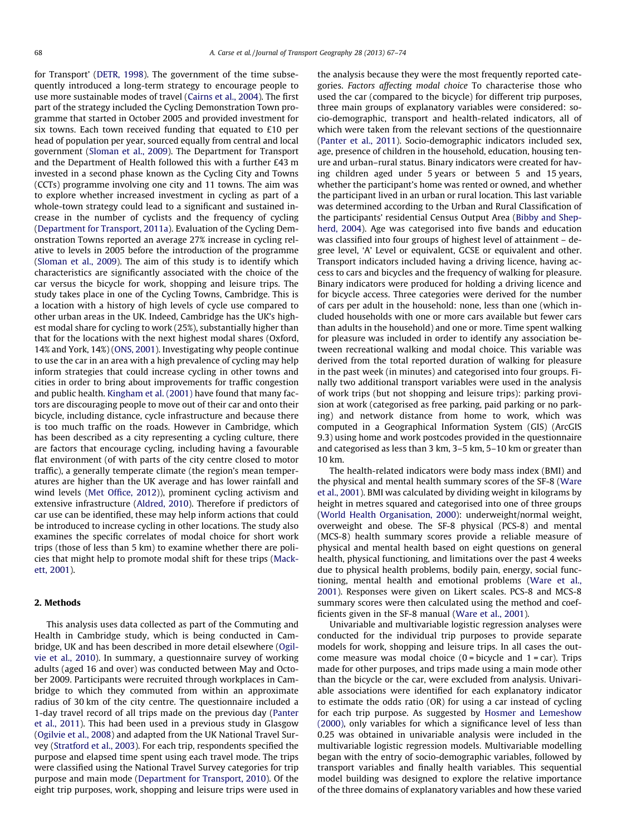for Transport' ([DETR, 1998\)](#page-7-0). The government of the time subsequently introduced a long-term strategy to encourage people to use more sustainable modes of travel [\(Cairns et al., 2004](#page-7-0)). The first part of the strategy included the Cycling Demonstration Town programme that started in October 2005 and provided investment for six towns. Each town received funding that equated to £10 per head of population per year, sourced equally from central and local government ([Sloman et al., 2009](#page-7-0)). The Department for Transport and the Department of Health followed this with a further £43 m invested in a second phase known as the Cycling City and Towns (CCTs) programme involving one city and 11 towns. The aim was to explore whether increased investment in cycling as part of a whole-town strategy could lead to a significant and sustained increase in the number of cyclists and the frequency of cycling ([Department for Transport, 2011a\)](#page-7-0). Evaluation of the Cycling Demonstration Towns reported an average 27% increase in cycling relative to levels in 2005 before the introduction of the programme ([Sloman et al., 2009\)](#page-7-0). The aim of this study is to identify which characteristics are significantly associated with the choice of the car versus the bicycle for work, shopping and leisure trips. The study takes place in one of the Cycling Towns, Cambridge. This is a location with a history of high levels of cycle use compared to other urban areas in the UK. Indeed, Cambridge has the UK's highest modal share for cycling to work (25%), substantially higher than that for the locations with the next highest modal shares (Oxford, 14% and York, 14%) ([ONS, 2001\)](#page-7-0). Investigating why people continue to use the car in an area with a high prevalence of cycling may help inform strategies that could increase cycling in other towns and cities in order to bring about improvements for traffic congestion and public health. [Kingham et al. \(2001\)](#page-7-0) have found that many factors are discouraging people to move out of their car and onto their bicycle, including distance, cycle infrastructure and because there is too much traffic on the roads. However in Cambridge, which has been described as a city representing a cycling culture, there are factors that encourage cycling, including having a favourable flat environment (of with parts of the city centre closed to motor traffic), a generally temperate climate (the region's mean temperatures are higher than the UK average and has lower rainfall and wind levels ([Met Office, 2012\)](#page-7-0)), prominent cycling activism and extensive infrastructure [\(Aldred, 2010](#page-7-0)). Therefore if predictors of car use can be identified, these may help inform actions that could be introduced to increase cycling in other locations. The study also examines the specific correlates of modal choice for short work trips (those of less than 5 km) to examine whether there are policies that might help to promote modal shift for these trips [\(Mack](#page-7-0)[ett, 2001\)](#page-7-0).

# 2. Methods

This analysis uses data collected as part of the Commuting and Health in Cambridge study, which is being conducted in Cambridge, UK and has been described in more detail elsewhere [\(Ogil](#page-7-0)[vie et al., 2010\)](#page-7-0). In summary, a questionnaire survey of working adults (aged 16 and over) was conducted between May and October 2009. Participants were recruited through workplaces in Cambridge to which they commuted from within an approximate radius of 30 km of the city centre. The questionnaire included a 1-day travel record of all trips made on the previous day [\(Panter](#page-7-0) [et al., 2011](#page-7-0)). This had been used in a previous study in Glasgow ([Ogilvie et al., 2008\)](#page-7-0) and adapted from the UK National Travel Survey [\(Stratford et al., 2003](#page-7-0)). For each trip, respondents specified the purpose and elapsed time spent using each travel mode. The trips were classified using the National Travel Survey categories for trip purpose and main mode [\(Department for Transport, 2010\)](#page-7-0). Of the eight trip purposes, work, shopping and leisure trips were used in the analysis because they were the most frequently reported categories. Factors affecting modal choice To characterise those who used the car (compared to the bicycle) for different trip purposes, three main groups of explanatory variables were considered: socio-demographic, transport and health-related indicators, all of which were taken from the relevant sections of the questionnaire ([Panter et al., 2011\)](#page-7-0). Socio-demographic indicators included sex, age, presence of children in the household, education, housing tenure and urban–rural status. Binary indicators were created for having children aged under 5 years or between 5 and 15 years, whether the participant's home was rented or owned, and whether the participant lived in an urban or rural location. This last variable was determined according to the Urban and Rural Classification of the participants' residential Census Output Area [\(Bibby and Shep](#page-7-0)[herd, 2004\)](#page-7-0). Age was categorised into five bands and education was classified into four groups of highest level of attainment – degree level, 'A' Level or equivalent, GCSE or equivalent and other. Transport indicators included having a driving licence, having access to cars and bicycles and the frequency of walking for pleasure. Binary indicators were produced for holding a driving licence and for bicycle access. Three categories were derived for the number of cars per adult in the household: none, less than one (which included households with one or more cars available but fewer cars than adults in the household) and one or more. Time spent walking for pleasure was included in order to identify any association between recreational walking and modal choice. This variable was derived from the total reported duration of walking for pleasure in the past week (in minutes) and categorised into four groups. Finally two additional transport variables were used in the analysis of work trips (but not shopping and leisure trips): parking provision at work (categorised as free parking, paid parking or no parking) and network distance from home to work, which was computed in a Geographical Information System (GIS) (ArcGIS 9.3) using home and work postcodes provided in the questionnaire and categorised as less than 3 km, 3–5 km, 5–10 km or greater than 10 km.

The health-related indicators were body mass index (BMI) and the physical and mental health summary scores of the SF-8 [\(Ware](#page-7-0) [et al., 2001](#page-7-0)). BMI was calculated by dividing weight in kilograms by height in metres squared and categorised into one of three groups ([World Health Organisation, 2000](#page-7-0)): underweight/normal weight, overweight and obese. The SF-8 physical (PCS-8) and mental (MCS-8) health summary scores provide a reliable measure of physical and mental health based on eight questions on general health, physical functioning, and limitations over the past 4 weeks due to physical health problems, bodily pain, energy, social functioning, mental health and emotional problems ([Ware et al.,](#page-7-0) [2001\)](#page-7-0). Responses were given on Likert scales. PCS-8 and MCS-8 summary scores were then calculated using the method and coefficients given in the SF-8 manual [\(Ware et al., 2001](#page-7-0)).

Univariable and multivariable logistic regression analyses were conducted for the individual trip purposes to provide separate models for work, shopping and leisure trips. In all cases the outcome measure was modal choice  $(0 = bicycle$  and  $1 = car)$ . Trips made for other purposes, and trips made using a main mode other than the bicycle or the car, were excluded from analysis. Univariable associations were identified for each explanatory indicator to estimate the odds ratio (OR) for using a car instead of cycling for each trip purpose. As suggested by [Hosmer and Lemeshow](#page-7-0) [\(2000\),](#page-7-0) only variables for which a significance level of less than 0.25 was obtained in univariable analysis were included in the multivariable logistic regression models. Multivariable modelling began with the entry of socio-demographic variables, followed by transport variables and finally health variables. This sequential model building was designed to explore the relative importance of the three domains of explanatory variables and how these varied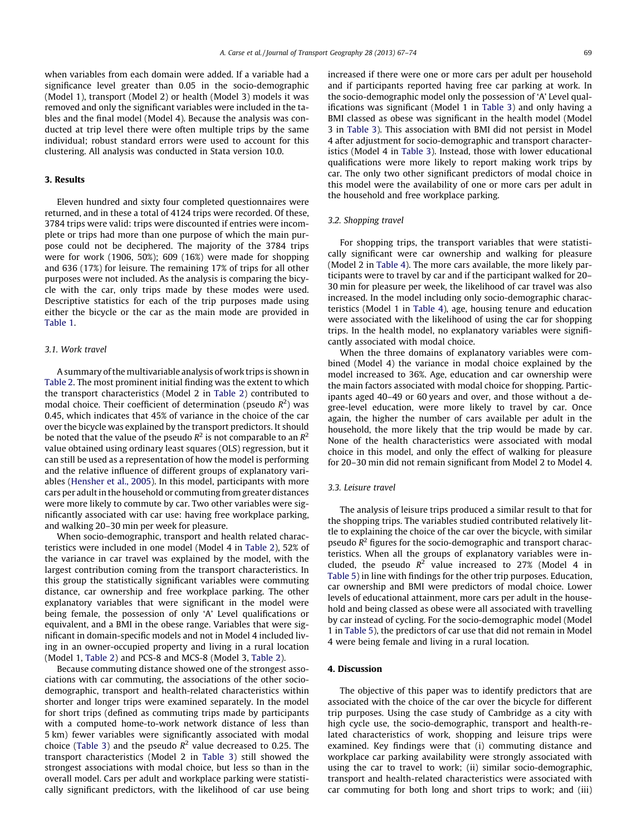when variables from each domain were added. If a variable had a significance level greater than 0.05 in the socio-demographic (Model 1), transport (Model 2) or health (Model 3) models it was removed and only the significant variables were included in the tables and the final model (Model 4). Because the analysis was conducted at trip level there were often multiple trips by the same individual; robust standard errors were used to account for this clustering. All analysis was conducted in Stata version 10.0.

#### 3. Results

Eleven hundred and sixty four completed questionnaires were returned, and in these a total of 4124 trips were recorded. Of these, 3784 trips were valid: trips were discounted if entries were incomplete or trips had more than one purpose of which the main purpose could not be deciphered. The majority of the 3784 trips were for work (1906, 50%); 609 (16%) were made for shopping and 636 (17%) for leisure. The remaining 17% of trips for all other purposes were not included. As the analysis is comparing the bicycle with the car, only trips made by these modes were used. Descriptive statistics for each of the trip purposes made using either the bicycle or the car as the main mode are provided in [Table 1](#page-3-0).

## 3.1. Work travel

A summary of the multivariable analysis of work trips is shown in [Table 2](#page-4-0). The most prominent initial finding was the extent to which the transport characteristics (Model 2 in [Table 2](#page-4-0)) contributed to modal choice. Their coefficient of determination (pseudo  $R^2$ ) was 0.45, which indicates that 45% of variance in the choice of the car over the bicycle was explained by the transport predictors. It should be noted that the value of the pseudo  $R^2$  is not comparable to an  $R^2$ value obtained using ordinary least squares (OLS) regression, but it can still be used as a representation of how the model is performing and the relative influence of different groups of explanatory variables ([Hensher et al., 2005\)](#page-7-0). In this model, participants with more cars per adult in the household or commuting from greater distances were more likely to commute by car. Two other variables were significantly associated with car use: having free workplace parking, and walking 20–30 min per week for pleasure.

When socio-demographic, transport and health related characteristics were included in one model (Model 4 in [Table 2](#page-4-0)), 52% of the variance in car travel was explained by the model, with the largest contribution coming from the transport characteristics. In this group the statistically significant variables were commuting distance, car ownership and free workplace parking. The other explanatory variables that were significant in the model were being female, the possession of only 'A' Level qualifications or equivalent, and a BMI in the obese range. Variables that were significant in domain-specific models and not in Model 4 included living in an owner-occupied property and living in a rural location (Model 1, [Table 2](#page-4-0)) and PCS-8 and MCS-8 (Model 3, [Table 2\)](#page-4-0).

Because commuting distance showed one of the strongest associations with car commuting, the associations of the other sociodemographic, transport and health-related characteristics within shorter and longer trips were examined separately. In the model for short trips (defined as commuting trips made by participants with a computed home-to-work network distance of less than 5 km) fewer variables were significantly associated with modal choice ([Table 3](#page-5-0)) and the pseudo  $R^2$  value decreased to 0.25. The transport characteristics (Model 2 in [Table 3](#page-5-0)) still showed the strongest associations with modal choice, but less so than in the overall model. Cars per adult and workplace parking were statistically significant predictors, with the likelihood of car use being increased if there were one or more cars per adult per household and if participants reported having free car parking at work. In the socio-demographic model only the possession of 'A' Level qualifications was significant (Model 1 in [Table 3\)](#page-5-0) and only having a BMI classed as obese was significant in the health model (Model 3 in [Table 3](#page-5-0)). This association with BMI did not persist in Model 4 after adjustment for socio-demographic and transport characteristics (Model 4 in [Table 3\)](#page-5-0). Instead, those with lower educational qualifications were more likely to report making work trips by car. The only two other significant predictors of modal choice in this model were the availability of one or more cars per adult in the household and free workplace parking.

#### 3.2. Shopping travel

For shopping trips, the transport variables that were statistically significant were car ownership and walking for pleasure (Model 2 in [Table 4](#page-5-0)). The more cars available, the more likely participants were to travel by car and if the participant walked for 20– 30 min for pleasure per week, the likelihood of car travel was also increased. In the model including only socio-demographic characteristics (Model 1 in [Table 4](#page-5-0)), age, housing tenure and education were associated with the likelihood of using the car for shopping trips. In the health model, no explanatory variables were significantly associated with modal choice.

When the three domains of explanatory variables were combined (Model 4) the variance in modal choice explained by the model increased to 36%. Age, education and car ownership were the main factors associated with modal choice for shopping. Participants aged 40–49 or 60 years and over, and those without a degree-level education, were more likely to travel by car. Once again, the higher the number of cars available per adult in the household, the more likely that the trip would be made by car. None of the health characteristics were associated with modal choice in this model, and only the effect of walking for pleasure for 20–30 min did not remain significant from Model 2 to Model 4.

## 3.3. Leisure travel

The analysis of leisure trips produced a similar result to that for the shopping trips. The variables studied contributed relatively little to explaining the choice of the car over the bicycle, with similar pseudo  $R^2$  figures for the socio-demographic and transport characteristics. When all the groups of explanatory variables were included, the pseudo  $R^2$  value increased to 27% (Model 4 in [Table 5\)](#page-6-0) in line with findings for the other trip purposes. Education, car ownership and BMI were predictors of modal choice. Lower levels of educational attainment, more cars per adult in the household and being classed as obese were all associated with travelling by car instead of cycling. For the socio-demographic model (Model 1 in [Table 5\)](#page-6-0), the predictors of car use that did not remain in Model 4 were being female and living in a rural location.

## 4. Discussion

The objective of this paper was to identify predictors that are associated with the choice of the car over the bicycle for different trip purposes. Using the case study of Cambridge as a city with high cycle use, the socio-demographic, transport and health-related characteristics of work, shopping and leisure trips were examined. Key findings were that (i) commuting distance and workplace car parking availability were strongly associated with using the car to travel to work; (ii) similar socio-demographic, transport and health-related characteristics were associated with car commuting for both long and short trips to work; and (iii)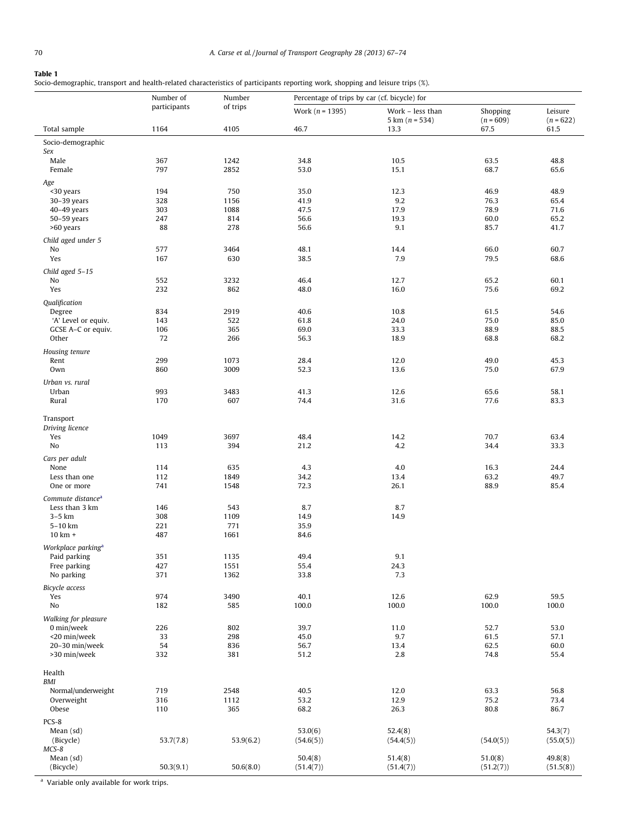<span id="page-3-0"></span>Socio-demographic, transport and health-related characteristics of participants reporting work, shopping and leisure trips (%).

|                                | Number of    | Number     | Percentage of trips by car (cf. bicycle) for |                                      |                         |                        |  |
|--------------------------------|--------------|------------|----------------------------------------------|--------------------------------------|-------------------------|------------------------|--|
|                                | participants | of trips   | Work $(n = 1395)$                            | Work - less than<br>5 km $(n = 534)$ | Shopping<br>$(n = 609)$ | Leisure<br>$(n = 622)$ |  |
| Total sample                   | 1164         | 4105       | 46.7                                         | 13.3                                 | 67.5                    | 61.5                   |  |
| Socio-demographic              |              |            |                                              |                                      |                         |                        |  |
| Sex<br>Male                    | 367          | 1242       | 34.8                                         | 10.5                                 | 63.5                    | 48.8                   |  |
| Female                         | 797          | 2852       | 53.0                                         | 15.1                                 | 68.7                    | 65.6                   |  |
|                                |              |            |                                              |                                      |                         |                        |  |
| Age                            |              |            |                                              |                                      |                         |                        |  |
| <30 years                      | 194          | 750        | 35.0                                         | 12.3                                 | 46.9                    | 48.9                   |  |
| $30-39$ years                  | 328          | 1156       | 41.9                                         | 9.2                                  | 76.3                    | 65.4                   |  |
| $40 - 49$ years                | 303          | 1088       | 47.5                                         | 17.9                                 | 78.9                    | 71.6                   |  |
| $50 - 59$ years<br>>60 years   | 247<br>88    | 814<br>278 | 56.6<br>56.6                                 | 19.3<br>9.1                          | 60.0<br>85.7            | 65.2<br>41.7           |  |
|                                |              |            |                                              |                                      |                         |                        |  |
| Child aged under 5             |              |            |                                              |                                      |                         |                        |  |
| No                             | 577          | 3464       | 48.1                                         | 14.4                                 | 66.0                    | 60.7                   |  |
| Yes                            | 167          | 630        | 38.5                                         | 7.9                                  | 79.5                    | 68.6                   |  |
| Child aged 5-15                |              |            |                                              |                                      |                         |                        |  |
| No                             | 552          | 3232       | 46.4                                         | 12.7                                 | 65.2                    | 60.1                   |  |
| Yes                            | 232          | 862        | 48.0                                         | 16.0                                 | 75.6                    | 69.2                   |  |
| Qualification                  |              |            |                                              |                                      |                         |                        |  |
| Degree                         | 834          | 2919       | 40.6                                         | 10.8                                 | 61.5                    | 54.6                   |  |
| 'A' Level or equiv.            | 143          | 522        | 61.8                                         | 24.0                                 | 75.0                    | 85.0                   |  |
| GCSE A-C or equiv.             | 106          | 365        | 69.0                                         | 33.3                                 | 88.9                    | 88.5                   |  |
| Other                          | 72           | 266        | 56.3                                         | 18.9                                 | 68.8                    | 68.2                   |  |
| Housing tenure                 |              |            |                                              |                                      |                         |                        |  |
| Rent                           | 299          | 1073       | 28.4                                         | 12.0                                 | 49.0                    | 45.3                   |  |
| Own                            | 860          | 3009       | 52.3                                         | 13.6                                 | 75.0                    | 67.9                   |  |
| Urban vs. rural                |              |            |                                              |                                      |                         |                        |  |
| Urban                          | 993          | 3483       | 41.3                                         | 12.6                                 | 65.6                    | 58.1                   |  |
| Rural                          | 170          | 607        | 74.4                                         | 31.6                                 | 77.6                    | 83.3                   |  |
|                                |              |            |                                              |                                      |                         |                        |  |
| Transport                      |              |            |                                              |                                      |                         |                        |  |
| Driving licence                |              |            |                                              |                                      |                         |                        |  |
| Yes                            | 1049         | 3697       | 48.4                                         | 14.2                                 | 70.7                    | 63.4                   |  |
| No                             | 113          | 394        | 21.2                                         | 4.2                                  | 34.4                    | 33.3                   |  |
| Cars per adult                 |              |            |                                              |                                      |                         |                        |  |
| None                           | 114          | 635        | 4.3                                          | 4.0                                  | 16.3                    | 24.4                   |  |
| Less than one                  | 112          | 1849       | 34.2                                         | 13.4                                 | 63.2                    | 49.7                   |  |
| One or more                    | 741          | 1548       | 72.3                                         | 26.1                                 | 88.9                    | 85.4                   |  |
| Commute distance <sup>a</sup>  |              |            |                                              |                                      |                         |                        |  |
| Less than 3 km                 | 146          | 543        | 8.7                                          | 8.7                                  |                         |                        |  |
| $3-5$ km                       | 308          | 1109       | 14.9                                         | 14.9                                 |                         |                        |  |
| 5-10 km                        | 221          | 771        | 35.9                                         |                                      |                         |                        |  |
| $10 km +$                      | 487          | 1661       | 84.6                                         |                                      |                         |                        |  |
| Workplace parking <sup>a</sup> |              |            |                                              |                                      |                         |                        |  |
| Paid parking                   | 351          | 1135       | 49.4                                         | 9.1                                  |                         |                        |  |
| Free parking                   | 427          | 1551       | 55.4                                         | 24.3                                 |                         |                        |  |
| No parking                     | 371          | 1362       | 33.8                                         | 7.3                                  |                         |                        |  |
| Bicycle access                 |              |            |                                              |                                      |                         |                        |  |
| Yes                            | 974          | 3490       | 40.1                                         | 12.6                                 | 62.9                    | 59.5                   |  |
| No                             | 182          | 585        | 100.0                                        | 100.0                                | 100.0                   | 100.0                  |  |
|                                |              |            |                                              |                                      |                         |                        |  |
| Walking for pleasure           |              |            |                                              |                                      |                         |                        |  |
| 0 min/week<br><20 min/week     | 226          | 802        | 39.7                                         | 11.0                                 | 52.7                    | 53.0                   |  |
| 20-30 min/week                 | 33<br>54     | 298<br>836 | 45.0<br>56.7                                 | 9.7<br>13.4                          | 61.5<br>62.5            | 57.1<br>60.0           |  |
| >30 min/week                   | 332          | 381        | 51.2                                         | 2.8                                  | 74.8                    | 55.4                   |  |
|                                |              |            |                                              |                                      |                         |                        |  |
| Health                         |              |            |                                              |                                      |                         |                        |  |
| BMI                            |              |            |                                              |                                      |                         |                        |  |
| Normal/underweight             | 719          | 2548       | 40.5                                         | 12.0                                 | 63.3                    | 56.8                   |  |
| Overweight                     | 316          | 1112       | 53.2                                         | 12.9                                 | 75.2                    | 73.4                   |  |
| Obese                          | 110          | 365        | 68.2                                         | 26.3                                 | 80.8                    | 86.7                   |  |
| PCS-8                          |              |            |                                              |                                      |                         |                        |  |
| Mean (sd)                      |              |            | 53.0(6)                                      | 52.4(8)                              |                         | 54.3(7)                |  |
| (Bicycle)                      | 53.7(7.8)    | 53.9(6.2)  | (54.6(5))                                    | (54.4(5))                            | (54.0(5))               | (55.0(5))              |  |
| $MCS-8$                        |              |            |                                              |                                      |                         |                        |  |
| Mean (sd)                      |              |            | 50.4(8)                                      | 51.4(8)                              | 51.0(8)                 | 49.8(8)                |  |
| (Bicycle)                      | 50.3(9.1)    | 50.6(8.0)  | (51.4(7))                                    | (51.4(7))                            | (51.2(7))               | (51.5(8))              |  |

<sup>a</sup> Variable only available for work trips.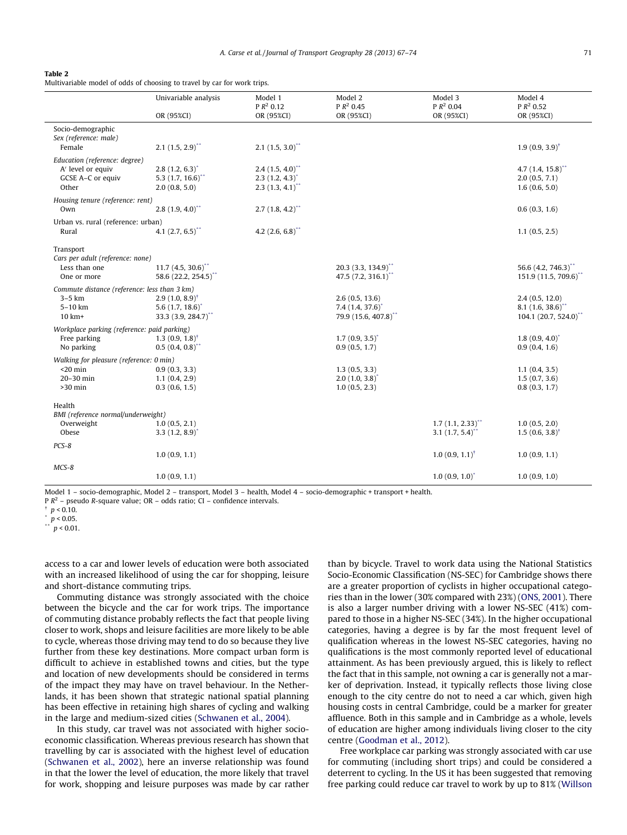<span id="page-4-0"></span>Multivariable model of odds of choosing to travel by car for work trips.

|                                                          | Univariable analysis                      | Model 1<br>$P R^2 0.12$        | Model 2<br>$P R^2 0.45$                       | Model 3<br>$P R^2 0.04$                   | Model 4<br>$P R^2 0.52$                      |  |  |
|----------------------------------------------------------|-------------------------------------------|--------------------------------|-----------------------------------------------|-------------------------------------------|----------------------------------------------|--|--|
|                                                          | OR (95%CI)                                | OR (95%CI)                     | OR (95%CI)                                    | OR (95%CI)                                | OR (95%CI)                                   |  |  |
| Socio-demographic<br>Sex (reference: male)               |                                           |                                |                                               |                                           |                                              |  |  |
| Female                                                   | $2.1$ (1.5, 2.9) <sup>**</sup>            | $2.1$ (1.5, 3.0) <sup>**</sup> |                                               |                                           | $1.9(0.9, 3.9)^{\dagger}$                    |  |  |
| Education (reference: degree)<br>A' level or equiv       | $2.8(1.2, 6.3)^{*}$                       | $2.4(1.5, 4.0)^{**}$           |                                               |                                           | 4.7 $(1.4, 15.8)^{**}$                       |  |  |
| GCSE A-C or equiv                                        | 5.3 $(1.7, 16.6)$ **                      | $2.3(1.2, 4.3)^{*}$            |                                               |                                           | 2.0(0.5, 7.1)                                |  |  |
| Other                                                    | 2.0(0.8, 5.0)                             | $2.3(1.3, 4.1)$ **             |                                               |                                           | 1.6(0.6, 5.0)                                |  |  |
| Housing tenure (reference: rent)                         |                                           |                                |                                               |                                           |                                              |  |  |
| Own                                                      | $2.8(1.9, 4.0)$ **                        | $2.7(1.8, 4.2)^{**}$           |                                               |                                           | 0.6(0.3, 1.6)                                |  |  |
| Urban vs. rural (reference: urban)                       |                                           |                                |                                               |                                           |                                              |  |  |
| Rural                                                    | 4.1 $(2.7, 6.5)$ <sup>**</sup>            | 4.2 $(2.6, 6.8)$ **            |                                               |                                           | 1.1(0.5, 2.5)                                |  |  |
| Transport                                                |                                           |                                |                                               |                                           |                                              |  |  |
| Cars per adult (reference: none)                         |                                           |                                |                                               |                                           |                                              |  |  |
| Less than one<br>One or more                             | 11.7(4.5, 30.6)<br>58.6 (22.2, 254.5)**   |                                | 20.3 (3.3, 134.9)**<br>47.5 $(7.2, 316.1)$ ** |                                           | 56.6 (4.2, 746.3)**<br>151.9 (11.5, 709.6)** |  |  |
|                                                          |                                           |                                |                                               |                                           |                                              |  |  |
| Commute distance (reference: less than 3 km)<br>$3-5$ km | $2.9(1.0, 8.9)^{\dagger}$                 |                                | 2.6(0.5, 13.6)                                |                                           | 2.4(0.5, 12.0)                               |  |  |
| $5-10$ km                                                | $5.6(1.7, 18.6)$ <sup>*</sup>             |                                | $7.4(1.4, 37.6)$ <sup>*</sup>                 |                                           | $8.1(1.6, 38.6)^{**}$                        |  |  |
| $10 \text{ km}+$                                         | 33.3 (3.9, 284.7)**                       |                                | 79.9 (15.6, 407.8)**                          |                                           | 104.1 (20.7, 524.0)**                        |  |  |
| Workplace parking (reference: paid parking)              |                                           |                                |                                               |                                           |                                              |  |  |
| Free parking                                             | $1.3(0.9, 1.8)$ <sup>†</sup>              |                                | $1.7(0.9, 3.5)^{*}$                           |                                           | $1.8(0.9, 4.0)^{*}$                          |  |  |
| No parking                                               | $0.5(0.4, 0.8)^{**}$                      |                                | 0.9(0.5, 1.7)                                 |                                           | 0.9(0.4, 1.6)                                |  |  |
| Walking for pleasure (reference: 0 min)                  |                                           |                                |                                               |                                           |                                              |  |  |
| $<$ 20 min                                               | 0.9(0.3, 3.3)                             |                                | 1.3(0.5, 3.3)                                 |                                           | 1.1(0.4, 3.5)                                |  |  |
| $20-30$ min<br>$>30$ min                                 | 1.1(0.4, 2.9)<br>0.3(0.6, 1.5)            |                                | $2.0(1.0, 3.8)^{\circ}$                       |                                           | 1.5(0.7, 3.6)<br>0.8(0.3, 1.7)               |  |  |
|                                                          |                                           |                                | 1.0(0.5, 2.3)                                 |                                           |                                              |  |  |
| Health                                                   |                                           |                                |                                               |                                           |                                              |  |  |
| BMI (reference normal/underweight)                       |                                           |                                |                                               |                                           |                                              |  |  |
| Overweight<br>Obese                                      | 1.0(0.5, 2.1)<br>3.3 $(1.2, 8.9)^{\circ}$ |                                |                                               | $1.7(1.1, 2.33)$ **<br>$3.1(1.7, 5.4)$ ** | 1.0(0.5, 2.0)<br>$1.5(0.6, 3.8)^{\dagger}$   |  |  |
| PCS-8                                                    |                                           |                                |                                               |                                           |                                              |  |  |
|                                                          | 1.0(0.9, 1.1)                             |                                |                                               | $1.0(0.9, 1.1)^{\dagger}$                 | 1.0(0.9, 1.1)                                |  |  |
| MCS-8                                                    |                                           |                                |                                               |                                           |                                              |  |  |
|                                                          | 1.0(0.9, 1.1)                             |                                |                                               | $1.0(0.9, 1.0)$ <sup>*</sup>              | 1.0(0.9, 1.0)                                |  |  |

Model 1 – socio-demographic, Model 2 – transport, Model 3 – health, Model 4 – socio-demographic + transport + health.

 $P R<sup>2</sup>$  – pseudo R-square value; OR – odds ratio; CI – confidence intervals.

 $p < 0.10$ .

 $p < 0.05$ .

 $p < 0.01$ .

access to a car and lower levels of education were both associated with an increased likelihood of using the car for shopping, leisure and short-distance commuting trips.

Commuting distance was strongly associated with the choice between the bicycle and the car for work trips. The importance of commuting distance probably reflects the fact that people living closer to work, shops and leisure facilities are more likely to be able to cycle, whereas those driving may tend to do so because they live further from these key destinations. More compact urban form is difficult to achieve in established towns and cities, but the type and location of new developments should be considered in terms of the impact they may have on travel behaviour. In the Netherlands, it has been shown that strategic national spatial planning has been effective in retaining high shares of cycling and walking in the large and medium-sized cities [\(Schwanen et al., 2004](#page-7-0)).

In this study, car travel was not associated with higher socioeconomic classification. Whereas previous research has shown that travelling by car is associated with the highest level of education ([Schwanen et al., 2002\)](#page-7-0), here an inverse relationship was found in that the lower the level of education, the more likely that travel for work, shopping and leisure purposes was made by car rather than by bicycle. Travel to work data using the National Statistics Socio-Economic Classification (NS-SEC) for Cambridge shows there are a greater proportion of cyclists in higher occupational categories than in the lower (30% compared with 23%) [\(ONS, 2001](#page-7-0)). There is also a larger number driving with a lower NS-SEC (41%) compared to those in a higher NS-SEC (34%). In the higher occupational categories, having a degree is by far the most frequent level of qualification whereas in the lowest NS-SEC categories, having no qualifications is the most commonly reported level of educational attainment. As has been previously argued, this is likely to reflect the fact that in this sample, not owning a car is generally not a marker of deprivation. Instead, it typically reflects those living close enough to the city centre do not to need a car which, given high housing costs in central Cambridge, could be a marker for greater affluence. Both in this sample and in Cambridge as a whole, levels of education are higher among individuals living closer to the city centre ([Goodman et al., 2012](#page-7-0)).

Free workplace car parking was strongly associated with car use for commuting (including short trips) and could be considered a deterrent to cycling. In the US it has been suggested that removing free parking could reduce car travel to work by up to 81% [\(Willson](#page-7-0)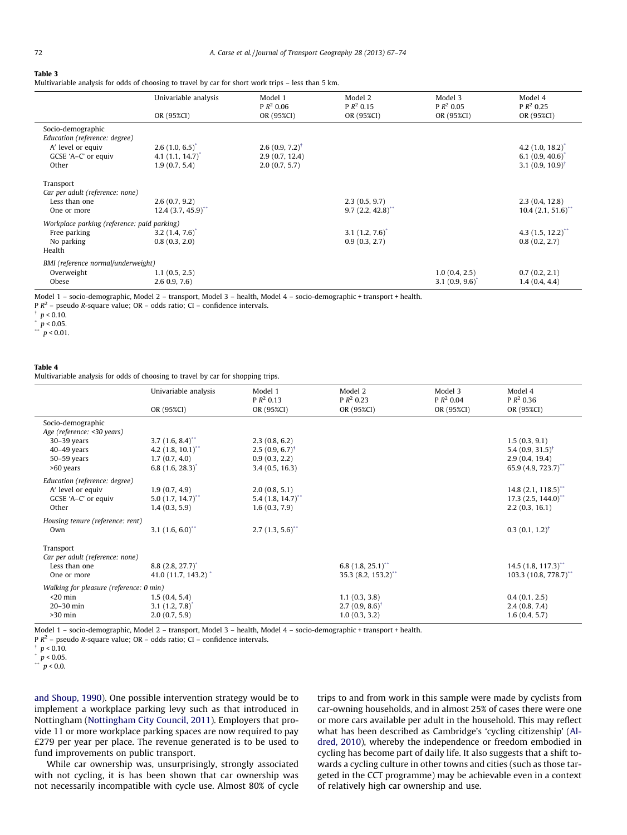<span id="page-5-0"></span>Multivariable analysis for odds of choosing to travel by car for short work trips – less than 5 km.

|                                             | Univariable analysis          | Model 1                   | Model 2              | Model 3                      | Model 4                          |  |
|---------------------------------------------|-------------------------------|---------------------------|----------------------|------------------------------|----------------------------------|--|
|                                             |                               | $P R^2 0.06$              | $P R^2 0.15$         | $P R^2 0.05$                 | $P R^2 0.25$                     |  |
|                                             | OR (95%CI)                    | OR (95%CI)                | OR (95%CI)           | OR (95%CI)                   | OR (95%CI)                       |  |
| Socio-demographic                           |                               |                           |                      |                              |                                  |  |
| Education (reference: degree)               |                               |                           |                      |                              |                                  |  |
| A' level or equiv                           | 2.6(1.0, 6.5)                 | $2.6(0.9, 7.2)^{\dagger}$ |                      |                              | 4.2 $(1.0, 18.2)$ <sup>*</sup>   |  |
| GCSE 'A-C' or equiv                         | $4.1(1.1, 14.7)$ <sup>*</sup> | 2.9(0.7, 12.4)            |                      |                              | 6.1 $(0.9, 40.6)$                |  |
| Other                                       | 1.9(0.7, 5.4)                 | 2.0(0.7, 5.7)             |                      |                              | 3.1 $(0.9, 10.9)^{\dagger}$      |  |
| Transport                                   |                               |                           |                      |                              |                                  |  |
| Car per adult (reference: none)             |                               |                           |                      |                              |                                  |  |
| Less than one                               | 2.6(0.7, 9.2)                 |                           | 2.3(0.5, 9.7)        |                              | 2.3(0.4, 12.8)                   |  |
| One or more                                 | $12.4(3.7, 45.9)^{**}$        |                           | $9.7(2.2, 42.8)^{4}$ |                              | $10.4$ (2.1, 51.6) <sup>**</sup> |  |
| Workplace parking (reference: paid parking) |                               |                           |                      |                              |                                  |  |
| Free parking                                | 3.2(1.4, 7.6)                 |                           | 3.1(1.2, 7.6)        |                              | 4.3 $(1.5, 12.2)$                |  |
| No parking                                  | 0.8(0.3, 2.0)                 |                           | 0.9(0.3, 2.7)        |                              | 0.8(0.2, 2.7)                    |  |
| Health                                      |                               |                           |                      |                              |                                  |  |
| BMI (reference normal/underweight)          |                               |                           |                      |                              |                                  |  |
| Overweight                                  | 1.1(0.5, 2.5)                 |                           |                      | 1.0(0.4, 2.5)                | 0.7(0.2, 2.1)                    |  |
| Obese                                       | 2.60.9, 7.6                   |                           |                      | $3.1(0.9, 9.6)$ <sup>*</sup> | 1.4(0.4, 4.4)                    |  |

Model 1 – socio-demographic, Model 2 – transport, Model 3 – health, Model 4 – socio-demographic + transport + health.

 $PR<sup>2</sup>$  – pseudo R-square value; OR – odds ratio; CI – confidence intervals.

 $p < 0.10$ .

 $p < 0.05$ .

 $\frac{p}{p}$  < 0.01.

#### Table 4

Multivariable analysis for odds of choosing to travel by car for shopping trips.

|                                         | Univariable analysis   | Model 1<br>$P R^2 0.13$   | Model 2<br>$P R^2 0.23$   | Model 3<br>$P R^2 0.04$ | Model 4<br>$P R^2 0.36$           |
|-----------------------------------------|------------------------|---------------------------|---------------------------|-------------------------|-----------------------------------|
|                                         | OR (95%CI)             | OR (95%CI)                | OR (95%CI)                | OR (95%CI)              | OR (95%CI)                        |
| Socio-demographic                       |                        |                           |                           |                         |                                   |
| Age (reference: <30 years)              |                        |                           |                           |                         |                                   |
| $30 - 39$ years                         | $3.7(1.6, 8.4)^{**}$   | 2.3(0.8, 6.2)             |                           |                         | 1.5(0.3, 9.1)                     |
| $40 - 49$ years                         | 4.2 $(1.8, 10.1)^{**}$ | $2.5(0.9, 6.7)^{\dagger}$ |                           |                         | 5.4 $(0.9, 31.5)^{\dagger}$       |
| $50-59$ years                           | 1.7(0.7, 4.0)          | 0.9(0.3, 2.2)             |                           |                         | 2.9(0.4, 19.4)                    |
| >60 years                               | 6.8 $(1.6, 28.3)^{*}$  | 3.4(0.5, 16.3)            |                           |                         | 65.9 (4.9, 723.7)**               |
| Education (reference: degree)           |                        |                           |                           |                         |                                   |
| A' level or equiv                       | 1.9(0.7, 4.9)          | 2.0(0.8, 5.1)             |                           |                         | $14.8(2.1, 118.5)$ <sup>**</sup>  |
| GCSE 'A-C' or equiv                     | $5.0(1.7, 14.7)^{**}$  | $5.4(1.8, 14.7)^{4}$      |                           |                         | $17.3$ (2.5, 144.0) <sup>**</sup> |
| Other                                   | 1.4(0.3, 5.9)          | 1.6(0.3, 7.9)             |                           |                         | 2.2(0.3, 16.1)                    |
| Housing tenure (reference: rent)        |                        |                           |                           |                         |                                   |
| Own                                     | 3.1 $(1.6, 6.0)^{**}$  | $2.7(1.3, 5.6)$ **        |                           |                         | $0.3(0.1, 1.2)^{\dagger}$         |
| Transport                               |                        |                           |                           |                         |                                   |
| Car per adult (reference: none)         |                        |                           |                           |                         |                                   |
| Less than one                           | $8.8(2.8, 27.7)^*$     |                           | 6.8 $(1.8, 25.1)^{**}$    |                         | $14.5(1.8, 117.3)$ <sup>**</sup>  |
| One or more                             | 41.0 (11.7, 143.2)     |                           | $35.3(8.2, 153.2)^{**}$   |                         | 103.3 (10.8, 778.7)**             |
| Walking for pleasure (reference: 0 min) |                        |                           |                           |                         |                                   |
| $<$ 20 min                              | 1.5(0.4, 5.4)          |                           | 1.1(0.3, 3.8)             |                         | 0.4(0.1, 2.5)                     |
| 20-30 min                               | $3.1$ $(1.2, 7.8)^{*}$ |                           | $2.7(0.9, 8.6)^{\dagger}$ |                         | 2.4(0.8, 7.4)                     |
| $>30$ min                               | 2.0(0.7, 5.9)          |                           | 1.0(0.3, 3.2)             |                         | 1.6(0.4, 5.7)                     |

Model 1 – socio-demographic, Model 2 – transport, Model 3 – health, Model 4 – socio-demographic + transport + health.

 $P R<sup>2</sup>$  – pseudo R-square value; OR – odds ratio; CI – confidence intervals.

 $p < 0.10$ .

 $p < 0.05$ .

\*\*  $p < 0.0$ .

[and Shoup, 1990\)](#page-7-0). One possible intervention strategy would be to implement a workplace parking levy such as that introduced in Nottingham ([Nottingham City Council, 2011](#page-7-0)). Employers that provide 11 or more workplace parking spaces are now required to pay £279 per year per place. The revenue generated is to be used to fund improvements on public transport.

While car ownership was, unsurprisingly, strongly associated with not cycling, it is has been shown that car ownership was not necessarily incompatible with cycle use. Almost 80% of cycle trips to and from work in this sample were made by cyclists from car-owning households, and in almost 25% of cases there were one or more cars available per adult in the household. This may reflect what has been described as Cambridge's 'cycling citizenship' ([Al](#page-7-0)[dred, 2010\)](#page-7-0), whereby the independence or freedom embodied in cycling has become part of daily life. It also suggests that a shift towards a cycling culture in other towns and cities (such as those targeted in the CCT programme) may be achievable even in a context of relatively high car ownership and use.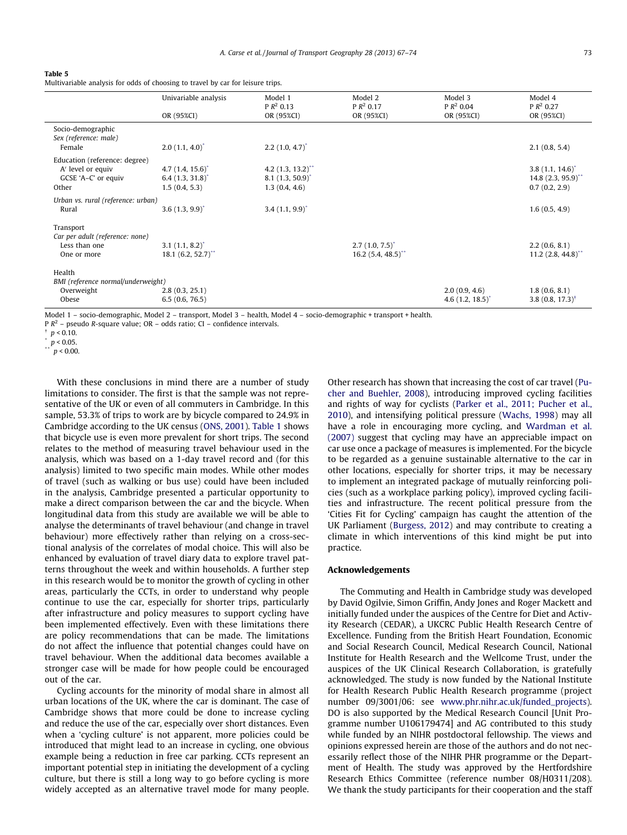<span id="page-6-0"></span>Multivariable analysis for odds of choosing to travel by car for leisure trips.

|                                            | Univariable analysis           | Model 1<br>$P R^2 0.13$       | Model 2<br>$P R^2 0.17$          | Model 3<br>$P R^2 0.04$ | Model 4<br>$P R^2 0.27$          |
|--------------------------------------------|--------------------------------|-------------------------------|----------------------------------|-------------------------|----------------------------------|
|                                            | OR (95%CI)                     | OR (95%CI)                    | OR (95%CI)                       | OR (95%CI)              | OR (95%CI)                       |
| Socio-demographic<br>Sex (reference: male) |                                |                               |                                  |                         |                                  |
| Female                                     | $2.0(1.1, 4.0)^{*}$            | $2.2$ (1.0, 4.7) <sup>*</sup> |                                  |                         | 2.1(0.8, 5.4)                    |
| Education (reference: degree)              |                                |                               |                                  |                         |                                  |
| A' level or equiv                          | 4.7 $(1.4, 15.6)^{*}$          | 4.2 $(1.3, 13.2)^{**}$        |                                  |                         | $3.8(1.1, 14.6)^{*}$             |
| GCSE 'A-C' or equiv                        | $6.4$ (1.3, 31.8) <sup>*</sup> | 8.1(1.3, 50.9)                |                                  |                         | $14.8$ (2.3, 95.9) <sup>**</sup> |
| Other                                      | 1.5(0.4, 5.3)                  | 1.3(0.4, 4.6)                 |                                  |                         | 0.7(0.2, 2.9)                    |
| Urban vs. rural (reference: urban)         |                                |                               |                                  |                         |                                  |
| Rural                                      | $3.6(1.3, 9.9)^{*}$            | 3.4 $(1.1, 9.9)^{*}$          |                                  |                         | 1.6(0.5, 4.9)                    |
| Transport                                  |                                |                               |                                  |                         |                                  |
| Car per adult (reference: none)            |                                |                               |                                  |                         |                                  |
| Less than one                              | $3.1 (1.1, 8.2)^*$             |                               | $2.7(1.0, 7.5)^{*}$              |                         | 2.2(0.6, 8.1)                    |
| One or more                                | 18.1 $(6.2, 52.7)^{**}$        |                               | $16.2$ (5.4, 48.5) <sup>**</sup> |                         | 11.2(2.8, 44.8)                  |
|                                            |                                |                               |                                  |                         |                                  |
| Health                                     |                                |                               |                                  |                         |                                  |
| BMI (reference normal/underweight)         |                                |                               |                                  |                         |                                  |
| Overweight                                 | 2.8(0.3, 25.1)                 |                               |                                  | 2.0(0.9, 4.6)           | 1.8(0.6, 8.1)                    |
| Obese                                      | 6.5(0.6, 76.5)                 |                               |                                  | 4.6 $(1.2, 18.5)^{*}$   | 3.8 $(0.8, 17.3)$ <sup>†</sup>   |

Model 1 – socio-demographic, Model 2 – transport, Model 3 – health, Model 4 – socio-demographic + transport + health.

 $PR<sup>2</sup>$  – pseudo R-square value; OR – odds ratio; CI – confidence intervals.

 $p < 0.10$ .

With these conclusions in mind there are a number of study limitations to consider. The first is that the sample was not representative of the UK or even of all commuters in Cambridge. In this sample, 53.3% of trips to work are by bicycle compared to 24.9% in Cambridge according to the UK census [\(ONS, 2001\)](#page-7-0). [Table 1](#page-3-0) shows that bicycle use is even more prevalent for short trips. The second relates to the method of measuring travel behaviour used in the analysis, which was based on a 1-day travel record and (for this analysis) limited to two specific main modes. While other modes of travel (such as walking or bus use) could have been included in the analysis, Cambridge presented a particular opportunity to make a direct comparison between the car and the bicycle. When longitudinal data from this study are available we will be able to analyse the determinants of travel behaviour (and change in travel behaviour) more effectively rather than relying on a cross-sectional analysis of the correlates of modal choice. This will also be enhanced by evaluation of travel diary data to explore travel patterns throughout the week and within households. A further step in this research would be to monitor the growth of cycling in other areas, particularly the CCTs, in order to understand why people continue to use the car, especially for shorter trips, particularly after infrastructure and policy measures to support cycling have been implemented effectively. Even with these limitations there are policy recommendations that can be made. The limitations do not affect the influence that potential changes could have on travel behaviour. When the additional data becomes available a stronger case will be made for how people could be encouraged out of the car.  $p < 0.05$ .  $p < 0.00$ .

Cycling accounts for the minority of modal share in almost all urban locations of the UK, where the car is dominant. The case of Cambridge shows that more could be done to increase cycling and reduce the use of the car, especially over short distances. Even when a 'cycling culture' is not apparent, more policies could be introduced that might lead to an increase in cycling, one obvious example being a reduction in free car parking. CCTs represent an important potential step in initiating the development of a cycling culture, but there is still a long way to go before cycling is more widely accepted as an alternative travel mode for many people. Other research has shown that increasing the cost of car travel ([Pu](#page-7-0)[cher and Buehler, 2008\)](#page-7-0), introducing improved cycling facilities and rights of way for cyclists [\(Parker et al., 2011; Pucher et al.,](#page-7-0) [2010](#page-7-0)), and intensifying political pressure [\(Wachs, 1998](#page-7-0)) may all have a role in encouraging more cycling, and [Wardman et al.](#page-7-0) [\(2007\)](#page-7-0) suggest that cycling may have an appreciable impact on car use once a package of measures is implemented. For the bicycle to be regarded as a genuine sustainable alternative to the car in other locations, especially for shorter trips, it may be necessary to implement an integrated package of mutually reinforcing policies (such as a workplace parking policy), improved cycling facilities and infrastructure. The recent political pressure from the 'Cities Fit for Cycling' campaign has caught the attention of the UK Parliament ([Burgess, 2012](#page-7-0)) and may contribute to creating a climate in which interventions of this kind might be put into practice.

## Acknowledgements

The Commuting and Health in Cambridge study was developed by David Ogilvie, Simon Griffin, Andy Jones and Roger Mackett and initially funded under the auspices of the Centre for Diet and Activity Research (CEDAR), a UKCRC Public Health Research Centre of Excellence. Funding from the British Heart Foundation, Economic and Social Research Council, Medical Research Council, National Institute for Health Research and the Wellcome Trust, under the auspices of the UK Clinical Research Collaboration, is gratefully acknowledged. The study is now funded by the National Institute for Health Research Public Health Research programme (project number 09/3001/06: see [www.phr.nihr.ac.uk/funded\\_projects\)](http://www.phr.nihr.ac.uk/funded_projects). DO is also supported by the Medical Research Council [Unit Programme number U106179474] and AG contributed to this study while funded by an NIHR postdoctoral fellowship. The views and opinions expressed herein are those of the authors and do not necessarily reflect those of the NIHR PHR programme or the Department of Health. The study was approved by the Hertfordshire Research Ethics Committee (reference number 08/H0311/208). We thank the study participants for their cooperation and the staff